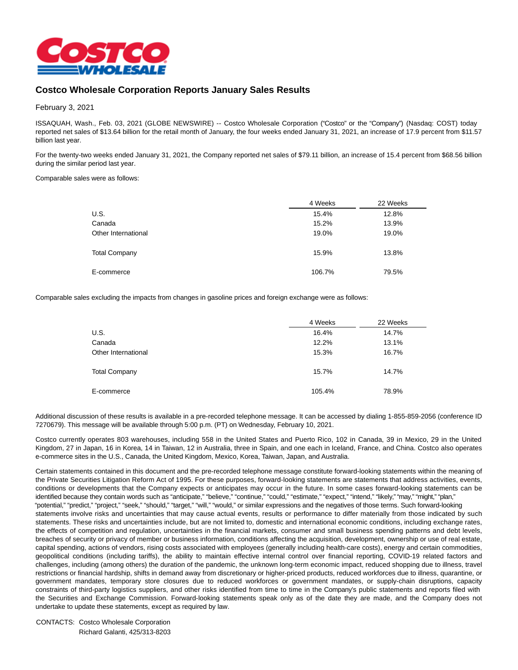

## **Costco Wholesale Corporation Reports January Sales Results**

February 3, 2021

ISSAQUAH, Wash., Feb. 03, 2021 (GLOBE NEWSWIRE) -- Costco Wholesale Corporation ("Costco" or the "Company") (Nasdaq: COST) today reported net sales of \$13.64 billion for the retail month of January, the four weeks ended January 31, 2021, an increase of 17.9 percent from \$11.57 billion last year.

For the twenty-two weeks ended January 31, 2021, the Company reported net sales of \$79.11 billion, an increase of 15.4 percent from \$68.56 billion during the similar period last year.

## Comparable sales were as follows:

|                      | 4 Weeks | 22 Weeks |
|----------------------|---------|----------|
| U.S.                 | 15.4%   | 12.8%    |
| Canada               | 15.2%   | 13.9%    |
| Other International  | 19.0%   | 19.0%    |
| <b>Total Company</b> | 15.9%   | 13.8%    |
| E-commerce           | 106.7%  | 79.5%    |

Comparable sales excluding the impacts from changes in gasoline prices and foreign exchange were as follows:

|                      | 4 Weeks | 22 Weeks |
|----------------------|---------|----------|
| U.S.                 | 16.4%   | 14.7%    |
| Canada               | 12.2%   | 13.1%    |
| Other International  | 15.3%   | 16.7%    |
|                      |         |          |
| <b>Total Company</b> | 15.7%   | 14.7%    |
| E-commerce           | 105.4%  | 78.9%    |

Additional discussion of these results is available in a pre-recorded telephone message. It can be accessed by dialing 1-855-859-2056 (conference ID 7270679). This message will be available through 5:00 p.m. (PT) on Wednesday, February 10, 2021.

Costco currently operates 803 warehouses, including 558 in the United States and Puerto Rico, 102 in Canada, 39 in Mexico, 29 in the United Kingdom, 27 in Japan, 16 in Korea, 14 in Taiwan, 12 in Australia, three in Spain, and one each in Iceland, France, and China. Costco also operates e-commerce sites in the U.S., Canada, the United Kingdom, Mexico, Korea, Taiwan, Japan, and Australia.

Certain statements contained in this document and the pre-recorded telephone message constitute forward-looking statements within the meaning of the Private Securities Litigation Reform Act of 1995. For these purposes, forward-looking statements are statements that address activities, events, conditions or developments that the Company expects or anticipates may occur in the future. In some cases forward-looking statements can be identified because they contain words such as "anticipate," "believe," "continue," "could," "estimate," "expect," "intend," "likely," "may," "might," "plan," "potential," "predict," "project," "seek," "should," "target," "will," "would," or similar expressions and the negatives of those terms. Such forward-looking statements involve risks and uncertainties that may cause actual events, results or performance to differ materially from those indicated by such statements. These risks and uncertainties include, but are not limited to, domestic and international economic conditions, including exchange rates, the effects of competition and regulation, uncertainties in the financial markets, consumer and small business spending patterns and debt levels, breaches of security or privacy of member or business information, conditions affecting the acquisition, development, ownership or use of real estate, capital spending, actions of vendors, rising costs associated with employees (generally including health-care costs), energy and certain commodities, geopolitical conditions (including tariffs), the ability to maintain effective internal control over financial reporting, COVID-19 related factors and challenges, including (among others) the duration of the pandemic, the unknown long-term economic impact, reduced shopping due to illness, travel restrictions or financial hardship, shifts in demand away from discretionary or higher-priced products, reduced workforces due to illness, quarantine, or government mandates, temporary store closures due to reduced workforces or government mandates, or supply-chain disruptions, capacity constraints of third-party logistics suppliers, and other risks identified from time to time in the Company's public statements and reports filed with the Securities and Exchange Commission. Forward-looking statements speak only as of the date they are made, and the Company does not undertake to update these statements, except as required by law.

CONTACTS: Costco Wholesale Corporation Richard Galanti, 425/313-8203